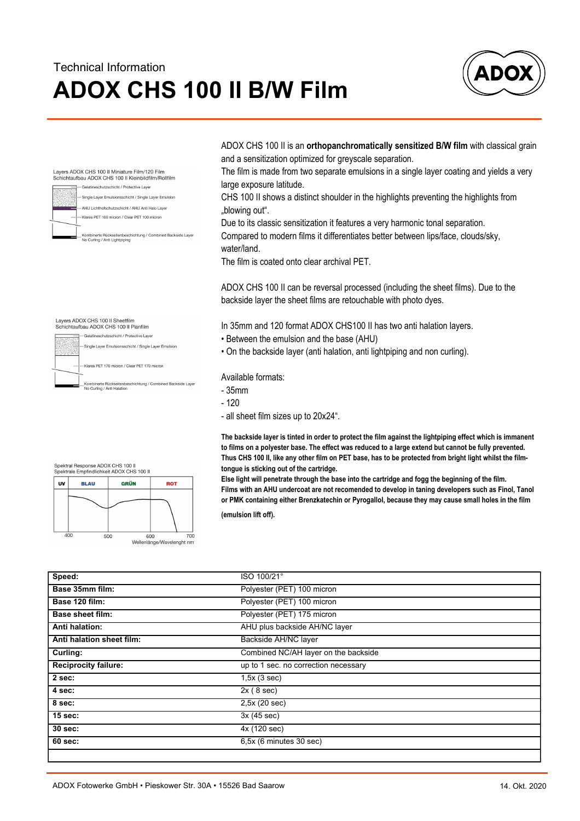## **ADOX CHS 100 II B/W Film** Technical Information



ADOX CHS 100 II is an **orthopanchromatically sensitized B/W film** with classical grain and a sensitization optimized for greyscale separation.

The film is made from two separate emulsions in a single layer coating and yields a very large exposure latitude.

CHS 100 II shows a distinct shoulder in the highlights preventing the highlights from "blowing out".

Due to its classic sensitization it features a very harmonic tonal separation. Compared to modern films it differentiates better between lips/face, clouds/sky, water/land.

The film is coated onto clear archival PET.

ADOX CHS 100 II can be reversal processed (including the sheet films). Due to the backside layer the sheet films are retouchable with photo dyes.

In 35mm and 120 format ADOX CHS100 II has two anti halation layers.

- Between the emulsion and the base (AHU)
- On the backside layer (anti halation, anti lightpiping and non curling).

Available formats:

- 35mm
- 120
- all sheet film sizes up to 20x24".

**The backside layer is tinted in order to protect the film against the lightpiping effect which is immanent to films on a polyester base. The effect was reduced to a large extend but cannot be fully prevented. Thus CHS 100 II, like any other film on PET base, has to be protected from bright light whilst the filmtongue is sticking out of the cartridge.**

**Else light will penetrate through the base into the cartridge and fogg the beginning of the film. Films with an AHU undercoat are not recomended to develop in taning developers such as Finol, Tanol or PMK containing either Brenzkatechin or Pyrogallol, because they may cause small holes in the film**

**(emulsion lift off).**

| Speed:                      | ISO 100/21°                          |  |  |  |  |
|-----------------------------|--------------------------------------|--|--|--|--|
| Base 35mm film:             | Polyester (PET) 100 micron           |  |  |  |  |
| Base 120 film:              | Polyester (PET) 100 micron           |  |  |  |  |
| <b>Base sheet film:</b>     | Polyester (PET) 175 micron           |  |  |  |  |
| <b>Anti halation:</b>       | AHU plus backside AH/NC layer        |  |  |  |  |
| Anti halation sheet film:   | Backside AH/NC layer                 |  |  |  |  |
| Curling:                    | Combined NC/AH layer on the backside |  |  |  |  |
| <b>Reciprocity failure:</b> | up to 1 sec. no correction necessary |  |  |  |  |
| 2 sec:                      | 1,5x(3 sec)                          |  |  |  |  |
| 4 sec:                      | 2x(8 sec)                            |  |  |  |  |
| 8 sec:                      | 2,5x (20 sec)                        |  |  |  |  |
| 15 sec:                     | 3x(45 sec)                           |  |  |  |  |
| 30 sec:                     | 4x (120 sec)                         |  |  |  |  |
| 60 sec:                     | 6,5x (6 minutes 30 sec)              |  |  |  |  |
|                             |                                      |  |  |  |  |

-Single Laver Emulsionsschicht / Single Laver Emulsion

Layers ADOX CHS 100 II Sheetfilm Schichtaufbau ADOX CHS 100 II Planfilm - Gelatineschutzschicht / Protective Layer

Klares PET 170 micron / Clear PET 170 micron

Layers ADOX CHS 100 II Miniature Film/120 Film<br>Schichtaufbau ADOX CHS 100 II Kleinbildfilm/Rollfilm - Gelatineschutzschicht / Protective Layer Single Layer Emulsionsschicht / Single Layer Emulsion -<br>AHU Lichthofschutzschicht / AHU Anti Halo Layer Klares PET 100 micron / Clear PET 100 micron

\*<br>\_Kombinerte Rückseitenbeschichtung / Combined Backside Layer<br>\_No Curling / Anti Halation

GRÜN

ROT

600 Wellenlänge/Wavelenght nm

Kombinerte Rückseitenbeschichtung / Combined Backside Layer<br>No Curling / Anti Lightpiping



500

**BLAU** 

 $\overline{\mathbf{u}}$ 

 $40C$